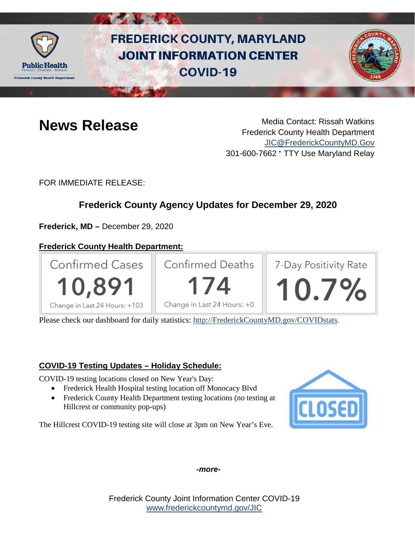

# **FREDERICK COUNTY, MARYLAND JOINT INFORMATION CENTER COVID-19**



**News Release** Media Contact: Rissah Watkins Frederick County Health Department [JIC@FrederickCountyMD.Gov](mailto:JIC@FrederickCountyMD.Gov) 301-600-7662 • TTY Use Maryland Relay

FOR IMMEDIATE RELEASE:

# **Frederick County Agency Updates for December 29, 2020**

**Frederick, MD –** December 29, 2020

## **Frederick County Health Department:**



Please check our dashboard for daily statistics: [http://FrederickCountyMD.gov/COVIDstats.](http://frederickcountymd.gov/COVIDstats)

## **COVID-19 Testing Updates – Holiday Schedule:**

COVID-19 testing locations closed on New Year's Day:

- Frederick Health Hospital testing location off Monocacy Blvd
- Frederick County Health Department testing locations (no testing at Hillcrest or community pop-ups)

The Hillcrest COVID-19 testing site will close at 3pm on New Year's Eve.



*-more-*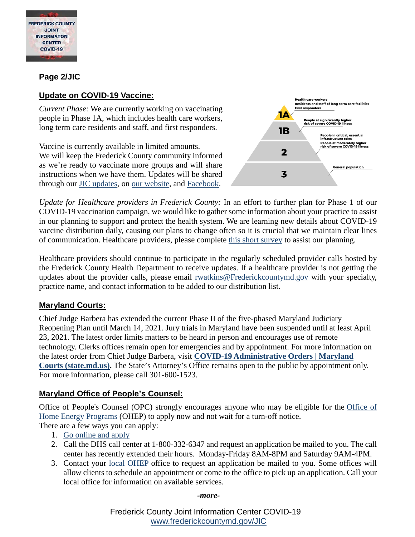

#### **Page 2/JIC**

#### **Update on COVID-19 Vaccine:**

*Current Phase:* We are currently working on vaccinating people in Phase 1A, which includes health care workers, long term care residents and staff, and first responders.

Vaccine is currently available in limited amounts. We will keep the Frederick County community informed as we're ready to vaccinate more groups and will share instructions when we have them. Updates will be shared through our [JIC updates,](https://www.frederickcountymd.gov/8076/COVID-19-Joint-Information-Center) on [our website,](https://health.frederickcountymd.gov/614/Novel-Coronavirus-COVID-19) and [Facebook.](https://urldefense.com/v3/__https:/www.facebook.com/fchealthdept__;!!I2-OFBIJoQBJqqeup9g!TPJQLgS638SHifQz3g3a9MP-lN98u5RiRVhSL45v9PLr_9FrcLs7TPif1oopxbXBNvKVUTj3LzU$)



*Update for Healthcare providers in Frederick County:* In an effort to further plan for Phase 1 of our COVID-19 vaccination campaign, we would like to gather some information about your practice to assist in our planning to support and protect the health system. We are learning new details about COVID-19 vaccine distribution daily, causing our plans to change often so it is crucial that we maintain clear lines of communication. Healthcare providers, please complete [this short survey](https://www.surveymonkey.com/r/HNK53YQ) to assist our planning.

Healthcare providers should continue to participate in the regularly scheduled provider calls hosted by the Frederick County Health Department to receive updates. If a healthcare provider is not getting the updates about the provider calls, please email [rwatkins@Frederickcountymd.gov](mailto:rwatkins@Frederickcountymd.gov) with your specialty, practice name, and contact information to be added to our distribution list.

#### **Maryland Courts:**

Chief Judge Barbera has extended the current Phase II of the five-phased Maryland Judiciary Reopening Plan until March 14, 2021. Jury trials in Maryland have been suspended until at least April 23, 2021. The latest order limits matters to be heard in person and encourages use of remote technology. Clerks offices remain open for emergencies and by appointment. For more information on the latest order from Chief Judge Barbera, visit **[COVID-19 Administrative Orders | Maryland](https://www.courts.state.md.us/coronavirusorders)  [Courts \(state.md.us\).](https://www.courts.state.md.us/coronavirusorders)** The State's Attorney's Office remains open to the public by appointment only. For more information, please call 301-600-1523.

## **Maryland Office of People's Counsel:**

Office of People's Counsel (OPC) strongly encourages anyone who may be eligible for the [Office of](https://dhs.maryland.gov/office-of-home-energy-programs/)  [Home Energy Programs](https://dhs.maryland.gov/office-of-home-energy-programs/) (OHEP) to apply now and not wait for a turn-off notice.

There are a few ways you can apply:

- 1. [Go online and apply](https://mydhrbenefits.dhr.state.md.us/dashboardClient/#/home)
- 2. Call the DHS call center at 1-800-332-6347 and request an application be mailed to you. The call center has recently extended their hours. Monday-Friday 8AM-8PM and Saturday 9AM-4PM.
- 3. Contact your [local OHEP](https://dhs.maryland.gov/office-of-home-energy-programs/local-home-energy-program-office/) office to request an application be mailed to you. Some offices will allow clients to schedule an appointment or come to the office to pick up an application. Call your local office for information on available services.

#### *-more-*

Frederick County Joint Information Center COVID-19 [www.frederickcountymd.gov/JIC](https://frederickcountymd.gov/JIC)